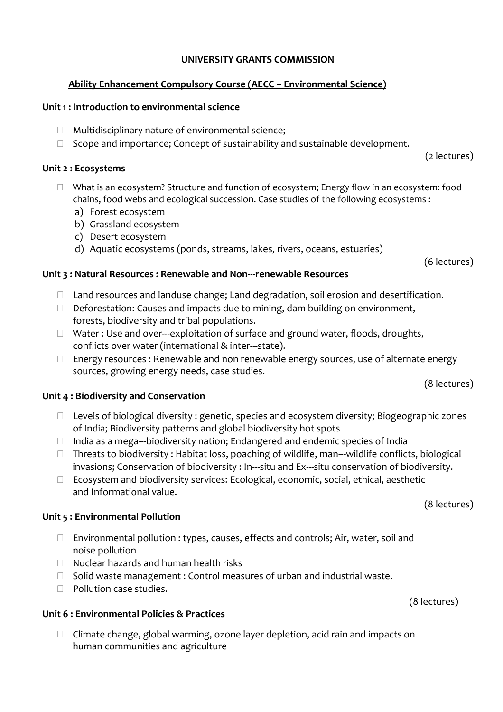### **UNIVERSITY GRANTS COMMISSION**

### **Ability Enhancement Compulsory Course (AECC – Environmental Science)**

#### **Unit 1 : Introduction to environmental science**

- $\Box$  Multidisciplinary nature of environmental science;
- $\Box$  Scope and importance; Concept of sustainability and sustainable development.

#### **Unit 2 : Ecosystems**

- $\Box$  What is an ecosystem? Structure and function of ecosystem; Energy flow in an ecosystem: food chains, food webs and ecological succession. Case studies of the following ecosystems :
	- a) Forest ecosystem
	- b) Grassland ecosystem
	- c) Desert ecosystem
	- d) Aquatic ecosystems (ponds, streams, lakes, rivers, oceans, estuaries)

(6 lectures)

(2 lectures)

#### **Unit 3 : Natural Resources : Renewable and Non-renewable Resources**

- □ Land resources and landuse change; Land degradation, soil erosion and desertification.
- $\Box$  Deforestation: Causes and impacts due to mining, dam building on environment, forests, biodiversity and tribal populations.
- $\Box$  Water : Use and over---exploitation of surface and ground water, floods, droughts, conflicts over water (international & inter---state).
- $\Box$  Energy resources : Renewable and non renewable energy sources, use of alternate energy sources, growing energy needs, case studies.

(8 lectures)

#### **Unit 4 : Biodiversity and Conservation**

- $\Box$  Levels of biological diversity : genetic, species and ecosystem diversity; Biogeographic zones of India; Biodiversity patterns and global biodiversity hot spots
- $\Box$  India as a mega---biodiversity nation; Endangered and endemic species of India
- $\Box$  Threats to biodiversity: Habitat loss, poaching of wildlife, man—wildlife conflicts, biological invasions; Conservation of biodiversity : In---situ and Ex---situ conservation of biodiversity.
- □ Ecosystem and biodiversity services: Ecological, economic, social, ethical, aesthetic and Informational value.

#### **Unit 5 : Environmental Pollution**

- $\Box$  Environmental pollution : types, causes, effects and controls; Air, water, soil and noise pollution
- $\Box$  Nuclear hazards and human health risks
- $\Box$  Solid waste management : Control measures of urban and industrial waste.
- $\Box$  Pollution case studies.

#### **Unit 6 : Environmental Policies & Practices**

 $\Box$  Climate change, global warming, ozone layer depletion, acid rain and impacts on human communities and agriculture

(8 lectures)

(8 lectures)